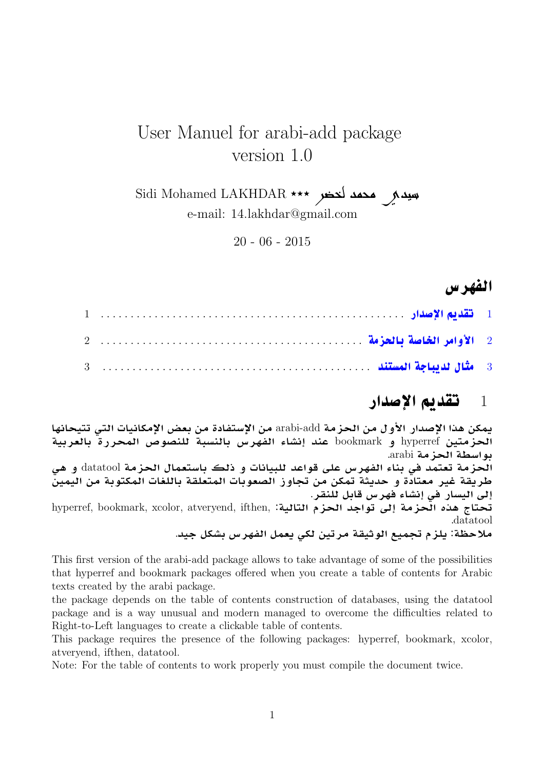# User Manuel for arabi-add package version 1.0

سيدي محمد لخضر ٭٭٭ Sidi Mohamed LAKHDAR e-mail: 14.lakhdar@gmail.com

20 - 06 - 2015

#### الفهرس

### 1 تقديم الإصدار

<span id="page-0-0"></span>**يمكن هذا الإصدار الأول من الحزمة** add-arabi **من الإستفادة من بعض الإمكانيات التي تتيحانها الحزمتين** hyperref **و** bookmark **عند إنشاء الفهرس بالنسبة للنصوص المحررة بالعربية بواسطة الحزمة** arabi**. الحزمة تعتمد في بناء الفهرس على قواعد للبيانات و ذلك باستعمال الحزمة** datatool **و هي طريقة غير معتادة و حديثة تمكن من تجاوز الصعوبات المتعلقة باللغات المكتوبة من اليمين إلى اليسار في إنشاء فهرس قابل للنقر. تحتاج هذه الْحزمة إلى تواجد الحزم التالية: hyperref, bookmark, xcolor, atveryend, ifthen, .**datatool **ملاحظة: يلزم تجميع الوثيقة مرتين لكي يعمل الفهرس بشكل جيد.**

This first version of the arabi-add package allows to take advantage of some of the possibilities that hyperref and bookmark packages offered when you create a table of contents for Arabic texts created by the arabi package.

the package depends on the table of contents construction of databases, using the datatool package and is a way unusual and modern managed to overcome the difficulties related to Right-to-Left languages to create a clickable table of contents.

This package requires the presence of the following packages: hyperref, bookmark, xcolor, atveryend, ifthen, datatool.

Note: For the table of contents to work properly you must compile the document twice.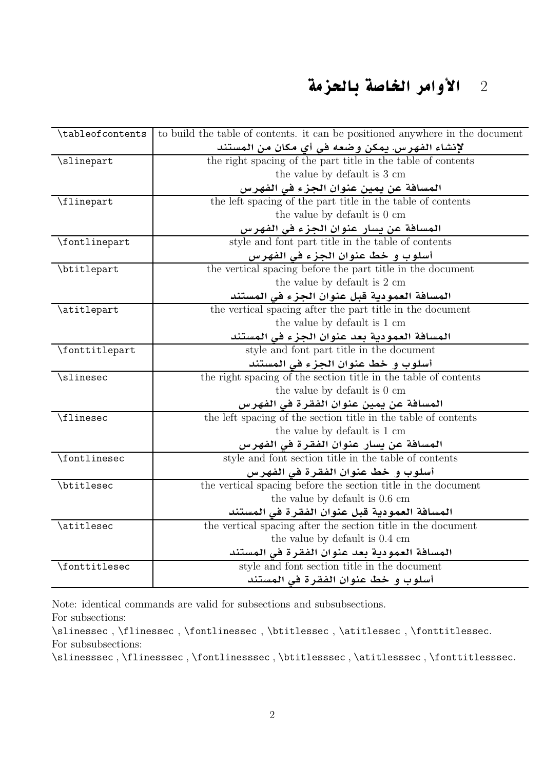# 2 الأوامر الخاصة بالحزمة

<span id="page-1-0"></span>

| \tableofcontents          | to build the table of contents. it can be positioned anywhere in the document                            |
|---------------------------|----------------------------------------------------------------------------------------------------------|
|                           | لإنشاء الفهرس. يمكن وضعه في أي مكان من المستند                                                           |
| \slinepart                | the right spacing of the part title in the table of contents                                             |
|                           | the value by default is 3 cm                                                                             |
|                           | المسافة عن يمين عنوان الجزء في الفهرس                                                                    |
| \flinepart                | the left spacing of the part title in the table of contents                                              |
|                           | the value by default is 0 cm                                                                             |
|                           | المسافة عن يسار عنوان الجزء في الفهرس                                                                    |
| \fontlinepart             | style and font part title in the table of contents                                                       |
|                           | أسلوب وخط عنوان الجزء في الفهرس                                                                          |
| \btitlepart               | the vertical spacing before the part title in the document                                               |
|                           | the value by default is 2 cm                                                                             |
|                           | المسافة العمودية قبل عنوان الجزء في المستند                                                              |
| \atitlepart               | the vertical spacing after the part title in the document                                                |
|                           | the value by default is 1 cm                                                                             |
|                           | المسافة العمودية بعد عنوان الجزء في المستند                                                              |
| \fonttitlepart            | style and font part title in the document                                                                |
|                           | أسلوب و خط عنوان الجزء في المستند                                                                        |
| \slinesec                 | the right spacing of the section title in the table of contents                                          |
|                           | the value by default is 0 cm                                                                             |
|                           | المسافة عن يمين عنوان الفقرة في الفهرس<br>the left spacing of the section title in the table of contents |
| \flinesec                 |                                                                                                          |
|                           | the value by default is 1 cm                                                                             |
|                           | المسافة عن يسار عنوان الفقرة في الفهرس                                                                   |
| $\sqrt{\text{fontlines}}$ | style and font section title in the table of contents                                                    |
|                           | أسلوب و خط عنوان الفقرة في الفهرس                                                                        |
| \btitlesec                | the vertical spacing before the section title in the document                                            |
|                           | the value by default is 0.6 cm                                                                           |
|                           | المسافة العمودية قبل عنوان الفقرة فى المستند                                                             |
| \atitlesec                | the vertical spacing after the section title in the document                                             |
|                           | the value by default is 0.4 cm                                                                           |
|                           | المسافة العمودية بعد عنوان الفقرة في المستند                                                             |
| \fonttitlesec             | style and font section title in the document                                                             |
|                           | أسلوب و خط عنوان الفقرة في المستند                                                                       |

Note: identical commands are valid for subsections and subsubsections. For subsections:

 $\label{thm:main} \sl \slant\ slines, \thinspace\ \shinspace \$ For subsubsections:

 $\lambda$ , \slinesssec, \flinesssec, \fontlinesssec, \btitlesssec, \atitlesssec, \fonttitlesssec.